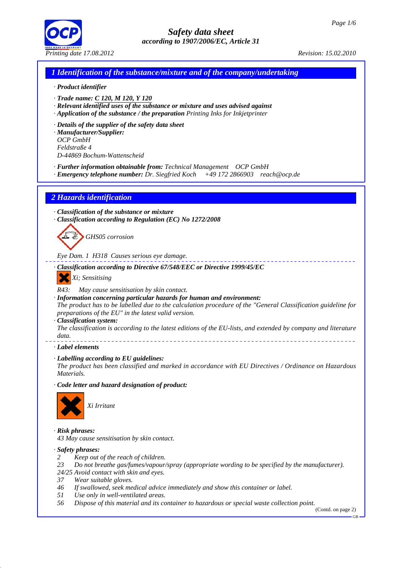

# *1 Identification of the substance/mixture and of the company/undertaking*

#### *· Product identifier*

- *· Trade name: C 120, M 120, Y 120*
- *· Relevant identified uses of the substance or mixture and uses advised against*
- *· Application of the substance / the preparation Printing Inks for Inkjetprinter*
- *· Details of the supplier of the safety data sheet*
- *· Manufacturer/Supplier: OCP GmbH Feldstraße 4 D-44869 Bochum-Wattenscheid*
- *· Further information obtainable from: Technical Management OCP GmbH*
- *· Emergency telephone number: Dr. Siegfried Koch +49 172 2866903 reach@ocp.de*

## *2 Hazards identification*

- *· Classification of the substance or mixture*
- *· Classification according to Regulation (EC) No 1272/2008*

*GHS05 corrosion*

*Eye Dam. 1 H318 Causes serious eye damage.*

- *· Classification according to Directive 67/548/EEC or Directive 1999/45/EC*
	- *Xi; Sensitising*

*R43: May cause sensitisation by skin contact.*

*· Information concerning particular hazards for human and environment:*

*The product has to be labelled due to the calculation procedure of the "General Classification guideline for preparations of the EU" in the latest valid version.*

- *· Classification system:*
- *The classification is according to the latest editions of the EU-lists, and extended by company and literature data.*
- *· Label elements*
- *· Labelling according to EU guidelines:*

*The product has been classified and marked in accordance with EU Directives / Ordinance on Hazardous Materials.*

*· Code letter and hazard designation of product:*



*· Risk phrases: 43 May cause sensitisation by skin contact.*

- *· Safety phrases:*
- *2 Keep out of the reach of children.*
- *23 Do not breathe gas/fumes/vapour/spray (appropriate wording to be specified by the manufacturer).*
- *24/25 Avoid contact with skin and eyes.*
- *37 Wear suitable gloves.*
- *46 If swallowed, seek medical advice immediately and show this container or label.*
- *51 Use only in well-ventilated areas.*
- *56 Dispose of this material and its container to hazardous or special waste collection point.*

(Contd. on page 2) GB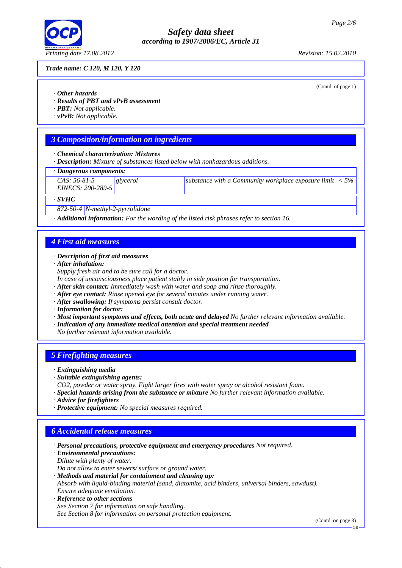

#### *Trade name: C 120, M 120, Y 120*

(Contd. of page 1)

- *· Other hazards*
- *· Results of PBT and vPvB assessment*
- *· PBT: Not applicable.*
- *· vPvB: Not applicable.*

## *3 Composition/information on ingredients*

#### *· Chemical characterization: Mixtures*

*· Description: Mixture of substances listed below with nonhazardous additions.*

#### *· Dangerous components:*

| $CAS: 56-81-5$<br>EINECS: 200-289-5 | glycerol | substance with a Community workplace exposure limit $ $ < 5% $ $ |  |
|-------------------------------------|----------|------------------------------------------------------------------|--|
| $\cdot$ SVHC                        |          |                                                                  |  |

*872-50-4 N-methyl-2-pyrrolidone*

*· Additional information: For the wording of the listed risk phrases refer to section 16.*

#### *4 First aid measures*

#### *· Description of first aid measures*

- *· After inhalation:*
- *Supply fresh air and to be sure call for a doctor.*
- *In case of unconsciousness place patient stably in side position for transportation.*
- *· After skin contact: Immediately wash with water and soap and rinse thoroughly.*
- *· After eye contact: Rinse opened eye for several minutes under running water.*
- *· After swallowing: If symptoms persist consult doctor.*
- *· Information for doctor:*
- *· Most important symptoms and effects, both acute and delayed No further relevant information available.*
- *· Indication of any immediate medical attention and special treatment needed*
- *No further relevant information available.*

#### *5 Firefighting measures*

- *· Extinguishing media*
- *· Suitable extinguishing agents:*
- *CO2, powder or water spray. Fight larger fires with water spray or alcohol resistant foam.*
- *· Special hazards arising from the substance or mixture No further relevant information available.*
- *· Advice for firefighters*
- *· Protective equipment: No special measures required.*

## *6 Accidental release measures*

- *· Personal precautions, protective equipment and emergency procedures Not required.*
- *· Environmental precautions:*
- *Dilute with plenty of water.*

*Do not allow to enter sewers/ surface or ground water.*

*· Methods and material for containment and cleaning up: Absorb with liquid-binding material (sand, diatomite, acid binders, universal binders, sawdust).*

*Ensure adequate ventilation.*

*· Reference to other sections See Section 7 for information on safe handling. See Section 8 for information on personal protection equipment.*

(Contd. on page 3)

GB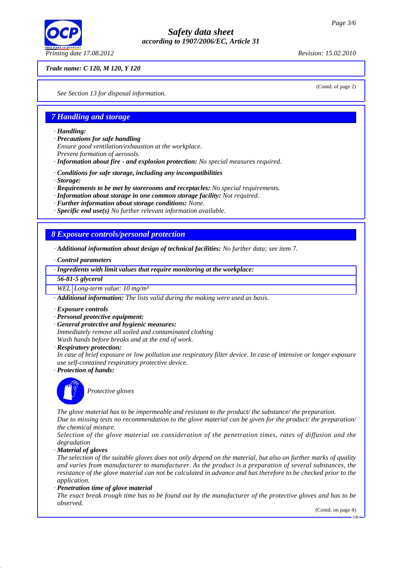

## *Trade name: C 120, M 120, Y 120*

(Contd. of page 2)

*See Section 13 for disposal information.*

# *7 Handling and storage*

- *· Handling:*
- *· Precautions for safe handling*
- *Ensure good ventilation/exhaustion at the workplace.*
- *Prevent formation of aerosols.*
- *· Information about fire and explosion protection: No special measures required.*
- *· Conditions for safe storage, including any incompatibilities*
- *· Storage:*
- *· Requirements to be met by storerooms and receptacles: No special requirements.*
- *· Information about storage in one common storage facility: Not required.*
- *· Further information about storage conditions: None.*
- *· Specific end use(s) No further relevant information available.*

# *8 Exposure controls/personal protection*

- *· Additional information about design of technical facilities: No further data; see item 7.*
- *· Control parameters*

#### *· Ingredients with limit values that require monitoring at the workplace:*

*56-81-5 glycerol*

#### *WEL Long-term value: 10 mg/m³*

*· Additional information: The lists valid during the making were used as basis.*

- *· Exposure controls*
- *· Personal protective equipment:*
- *· General protective and hygienic measures:*
- *Immediately remove all soiled and contaminated clothing*
- *Wash hands before breaks and at the end of work.*
- *· Respiratory protection:*

*In case of brief exposure or low pollution use respiratory filter device. In case of intensive or longer exposure use self-contained respiratory protective device.*

*· Protection of hands:*



*Protective gloves*

*The glove material has to be impermeable and resistant to the product/ the substance/ the preparation. Due to missing tests no recommendation to the glove material can be given for the product/ the preparation/*

*the chemical mixture. Selection of the glove material on consideration of the penetration times, rates of diffusion and the degradation*

*· Material of gloves*

*The selection of the suitable gloves does not only depend on the material, but also on further marks of quality and varies from manufacturer to manufacturer. As the product is a preparation of several substances, the resistance of the glove material can not be calculated in advance and has therefore to be checked prior to the application.*

*· Penetration time of glove material*

*The exact break trough time has to be found out by the manufacturer of the protective gloves and has to be observed.*

(Contd. on page 4)

GB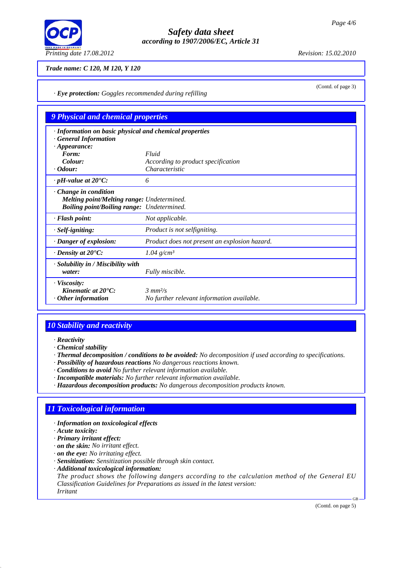

(Contd. of page 3)

## *Trade name: C 120, M 120, Y 120*

*· Eye protection: Goggles recommended during refilling*

# *9 Physical and chemical properties*

| · Information on basic physical and chemical properties<br><b>General Information</b><br>$\cdot$ Appearance:                   |                                                                                |
|--------------------------------------------------------------------------------------------------------------------------------|--------------------------------------------------------------------------------|
| Form:                                                                                                                          | Fluid                                                                          |
| Colour:                                                                                                                        | According to product specification                                             |
| $\cdot$ Odour:                                                                                                                 | Characteristic                                                                 |
| $\cdot$ pH-value at 20 $\degree$ C:                                                                                            | 6                                                                              |
| $\cdot$ Change in condition<br><b>Melting point/Melting range: Undetermined.</b><br>Boiling point/Boiling range: Undetermined. |                                                                                |
| · Flash point:                                                                                                                 | Not applicable.                                                                |
| · Self-igniting:                                                                                                               | Product is not selfigniting.                                                   |
| · Danger of explosion:                                                                                                         | Product does not present an explosion hazard.                                  |
| $\cdot$ Density at 20 $\degree$ C:                                                                                             | $1.04$ g/cm <sup>3</sup>                                                       |
| · Solubility in / Miscibility with<br>water:                                                                                   | Fully miscible.                                                                |
| · Viscosity:<br>Kinematic at $20^{\circ}$ C:<br>$\cdot$ Other information                                                      | $\frac{3}{3}$ mm <sup>2</sup> /s<br>No further relevant information available. |

# *10 Stability and reactivity*

*· Reactivity*

*· Chemical stability*

*· Thermal decomposition / conditions to be avoided: No decomposition if used according to specifications.*

- *· Possibility of hazardous reactions No dangerous reactions known.*
- *· Conditions to avoid No further relevant information available.*
- *· Incompatible materials: No further relevant information available.*
- *· Hazardous decomposition products: No dangerous decomposition products known.*

# *11 Toxicological information*

- *· Information on toxicological effects*
- *· Acute toxicity:*
- *· Primary irritant effect:*
- *· on the skin: No irritant effect.*
- *· on the eye: No irritating effect.*
- *· Sensitization: Sensitization possible through skin contact.*
- *· Additional toxicological information:*

*The product shows the following dangers according to the calculation method of the General EU Classification Guidelines for Preparations as issued in the latest version:*

*Irritant*

(Contd. on page 5)

GB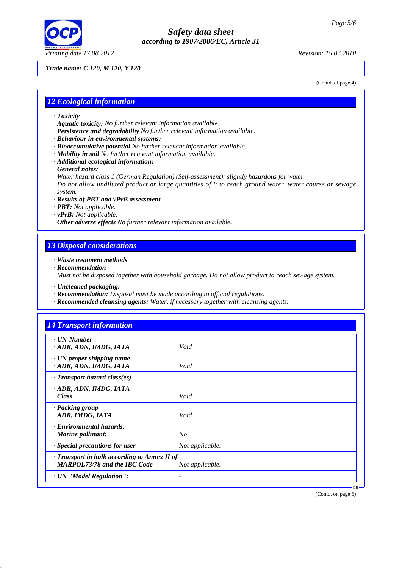

## *Trade name: C 120, M 120, Y 120*

(Contd. of page 4)

## *12 Ecological information*

- *· Toxicity*
- *· Aquatic toxicity: No further relevant information available.*
- *· Persistence and degradability No further relevant information available.*
- *· Behaviour in environmental systems:*
- *· Bioaccumulative potential No further relevant information available.*
- *· Mobility in soil No further relevant information available.*
- *· Additional ecological information:*

# *· General notes:*

*Water hazard class 1 (German Regulation) (Self-assessment): slightly hazardous for water Do not allow undiluted product or large quantities of it to reach ground water, water course or sewage system.*

#### *· Results of PBT and vPvB assessment*

- *· PBT: Not applicable.*
- *· vPvB: Not applicable.*
- *· Other adverse effects No further relevant information available.*

# *13 Disposal considerations*

- *· Waste treatment methods*
- *· Recommendation*

*Must not be disposed together with household garbage. Do not allow product to reach sewage system.*

- *· Uncleaned packaging:*
- *· Recommendation: Disposal must be made according to official regulations.*
- *· Recommended cleansing agents: Water, if necessary together with cleansing agents.*

| · UN-Number                                  |                 |  |
|----------------------------------------------|-----------------|--|
| ADR, ADN, IMDG, IATA                         | Void            |  |
| $\cdot$ UN proper shipping name              |                 |  |
| · ADR, ADN, IMDG, IATA                       | Void            |  |
| $\cdot$ Transport hazard class(es)           |                 |  |
| ADR, ADN, IMDG, IATA                         |                 |  |
| · Class                                      | Void            |  |
| · Packing group                              |                 |  |
| · ADR, IMDG, IATA                            | Void            |  |
| · Environmental hazards:                     |                 |  |
| $\cdot$ Marine pollutant:                    | N <sub>O</sub>  |  |
| · Special precautions for user               | Not applicable. |  |
| · Transport in bulk according to Annex II of |                 |  |
| <b>MARPOL73/78 and the IBC Code</b>          | Not applicable. |  |

(Contd. on page 6)

GB